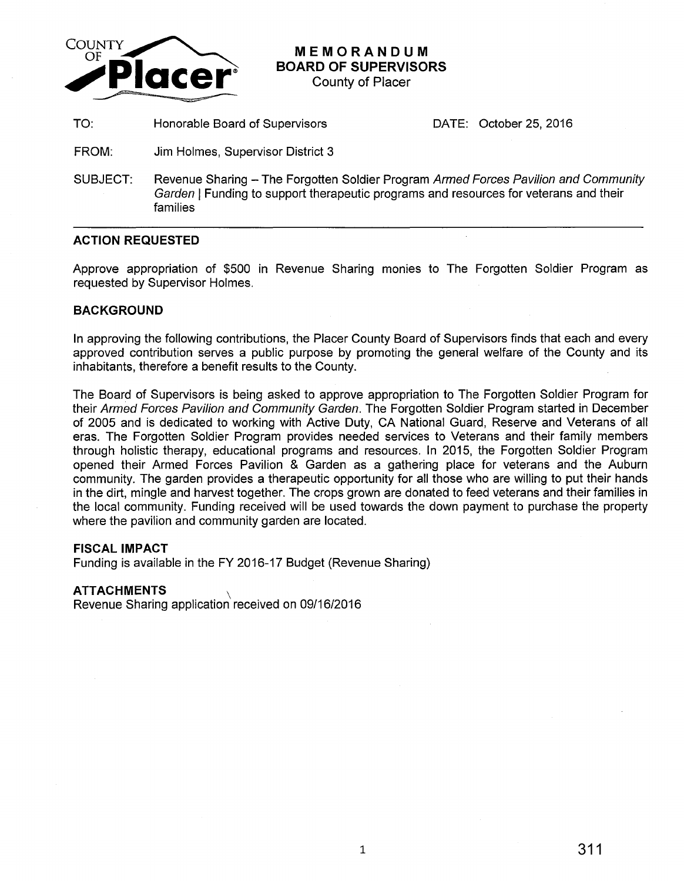

**MEMORANDUM BOARD OF SUPERVISORS** 

County of Placer

TO: Honorable Board of Supervisors DATE: October 25, 2016

- FROM: Jim Holmes, Supervisor District 3
- SUBJECT: Revenue Sharing The Forgotten Soldier Program Armed Forces Pavilion and Community Garden | Funding to support therapeutic programs and resources for veterans and their families

## **ACTION REQUESTED**

Approve appropriation of \$500 in Revenue Sharing monies to The Forgotten Soldier Program as requested by Supervisor Holmes.

## **BACKGROUND**

In approving the following contributions, the Placer County Board of Supervisors finds that each and every approved contribution serves a public purpose by promoting the general welfare of the County and its inhabitants, therefore a benefit results to the County.

The Board of Supervisors is being asked to approve appropriation to The Forgotten Soldier Program for their Armed Forces Pavilion and Community Garden. The Forgotten Soldier Program started in December of 2005 and is dedicated to working with Active Duty, CA National Guard, Reserve and Veterans of all eras. The Forgotten Soldier Program provides needed services to Veterans and their family members through holistic therapy, educational programs and resources. In 2015, the Forgotten Soldier Program opened their Armed Forces Pavilion & Garden as a gathering place for veterans and the Auburn community. The garden provides a therapeutic opportunity for all those who are willing to put their hands in the dirt, mingle and harvest together. The crops grown are donated to feed veterans and their families in the local community. Funding received will be used towards the down payment to purchase the property where the pavilion and community garden are located.

## **FISCAL IMPACT**

Funding is available in the FY 2016-17 Budget (Revenue Sharing)

## **ATTACHMENTS** \

Revenue Sharing application received on 09/16/2016